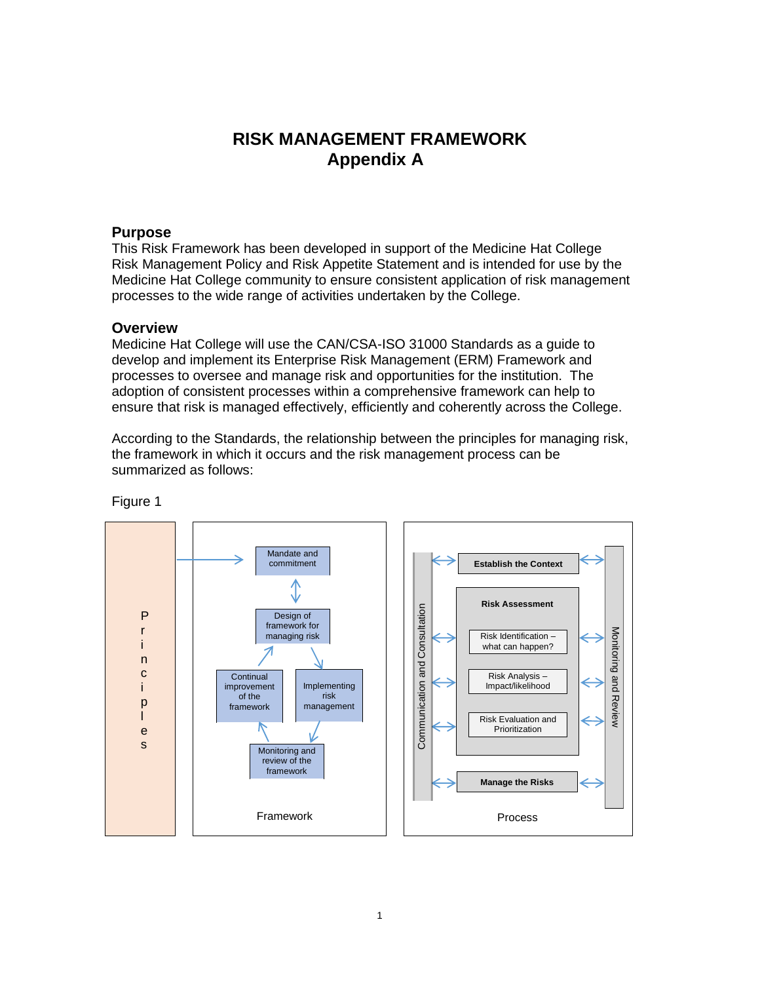# **RISK MANAGEMENT FRAMEWORK Appendix A**

## **Purpose**

This Risk Framework has been developed in support of the Medicine Hat College Risk Management Policy and Risk Appetite Statement and is intended for use by the Medicine Hat College community to ensure consistent application of risk management processes to the wide range of activities undertaken by the College.

## **Overview**

Medicine Hat College will use the CAN/CSA-ISO 31000 Standards as a guide to develop and implement its Enterprise Risk Management (ERM) Framework and processes to oversee and manage risk and opportunities for the institution. The adoption of consistent processes within a comprehensive framework can help to ensure that risk is managed effectively, efficiently and coherently across the College.

According to the Standards, the relationship between the principles for managing risk, the framework in which it occurs and the risk management process can be summarized as follows:



Figure 1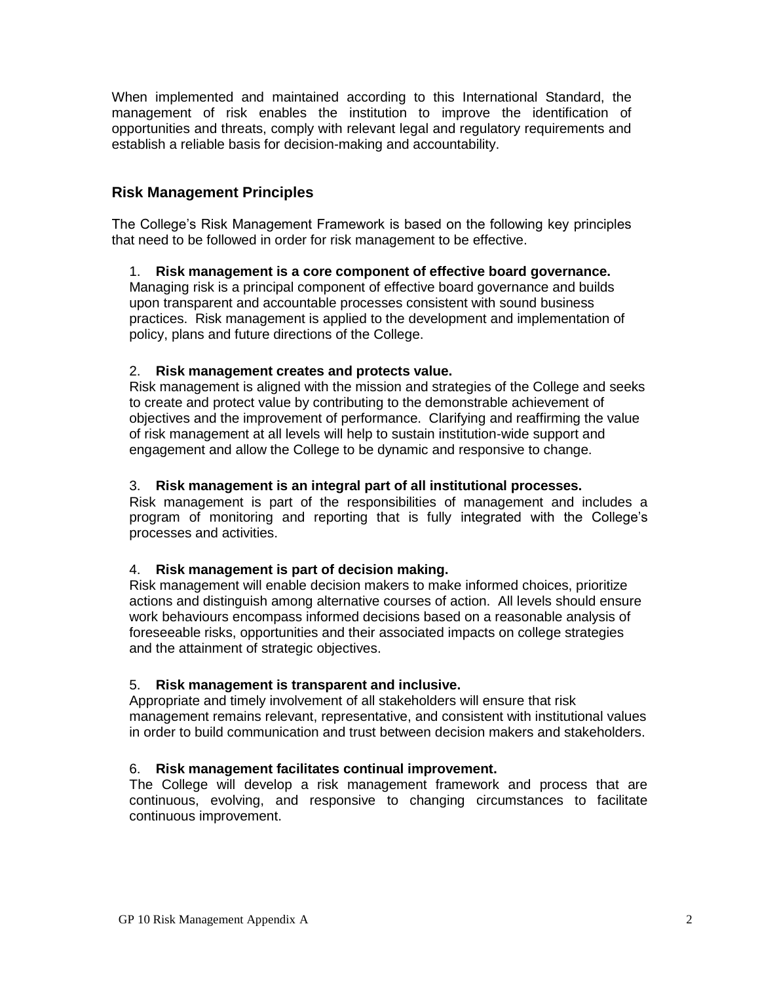When implemented and maintained according to this International Standard, the management of risk enables the institution to improve the identification of opportunities and threats, comply with relevant legal and regulatory requirements and establish a reliable basis for decision-making and accountability.

## **Risk Management Principles**

The College's Risk Management Framework is based on the following key principles that need to be followed in order for risk management to be effective.

## 1. **Risk management is a core component of effective board governance.**

Managing risk is a principal component of effective board governance and builds upon transparent and accountable processes consistent with sound business practices. Risk management is applied to the development and implementation of policy, plans and future directions of the College.

## 2. **Risk management creates and protects value.**

Risk management is aligned with the mission and strategies of the College and seeks to create and protect value by contributing to the demonstrable achievement of objectives and the improvement of performance. Clarifying and reaffirming the value of risk management at all levels will help to sustain institution-wide support and engagement and allow the College to be dynamic and responsive to change.

## 3. **Risk management is an integral part of all institutional processes.**

Risk management is part of the responsibilities of management and includes a program of monitoring and reporting that is fully integrated with the College's processes and activities.

## 4. **Risk management is part of decision making.**

Risk management will enable decision makers to make informed choices, prioritize actions and distinguish among alternative courses of action. All levels should ensure work behaviours encompass informed decisions based on a reasonable analysis of foreseeable risks, opportunities and their associated impacts on college strategies and the attainment of strategic objectives.

## 5. **Risk management is transparent and inclusive.**

Appropriate and timely involvement of all stakeholders will ensure that risk management remains relevant, representative, and consistent with institutional values in order to build communication and trust between decision makers and stakeholders.

## 6. **Risk management facilitates continual improvement.**

The College will develop a risk management framework and process that are continuous, evolving, and responsive to changing circumstances to facilitate continuous improvement.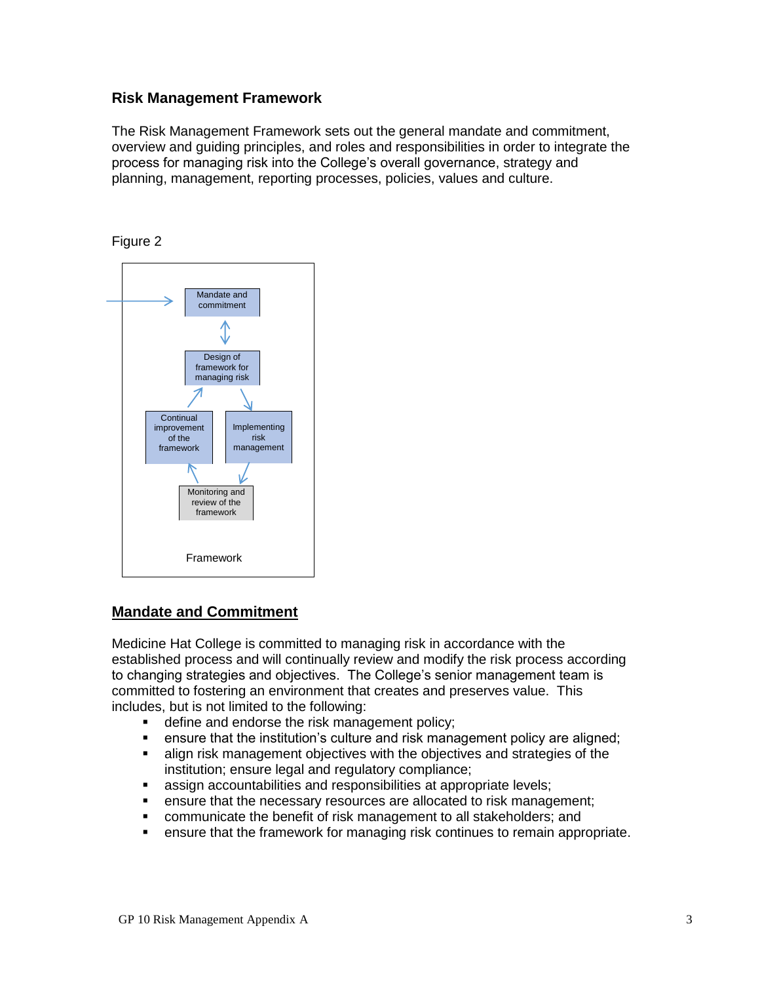## **Risk Management Framework**

The Risk Management Framework sets out the general mandate and commitment, overview and guiding principles, and roles and responsibilities in order to integrate the process for managing risk into the College's overall governance, strategy and planning, management, reporting processes, policies, values and culture.





## **Mandate and Commitment**

Medicine Hat College is committed to managing risk in accordance with the established process and will continually review and modify the risk process according to changing strategies and objectives. The College's senior management team is committed to fostering an environment that creates and preserves value. This includes, but is not limited to the following:

- define and endorse the risk management policy;
- ensure that the institution's culture and risk management policy are aligned;
- align risk management objectives with the objectives and strategies of the institution; ensure legal and regulatory compliance;
- **EXECO assign accountabilities and responsibilities at appropriate levels;**
- **EXE** ensure that the necessary resources are allocated to risk management;
- **EXEDER** communicate the benefit of risk management to all stakeholders; and
- ensure that the framework for managing risk continues to remain appropriate.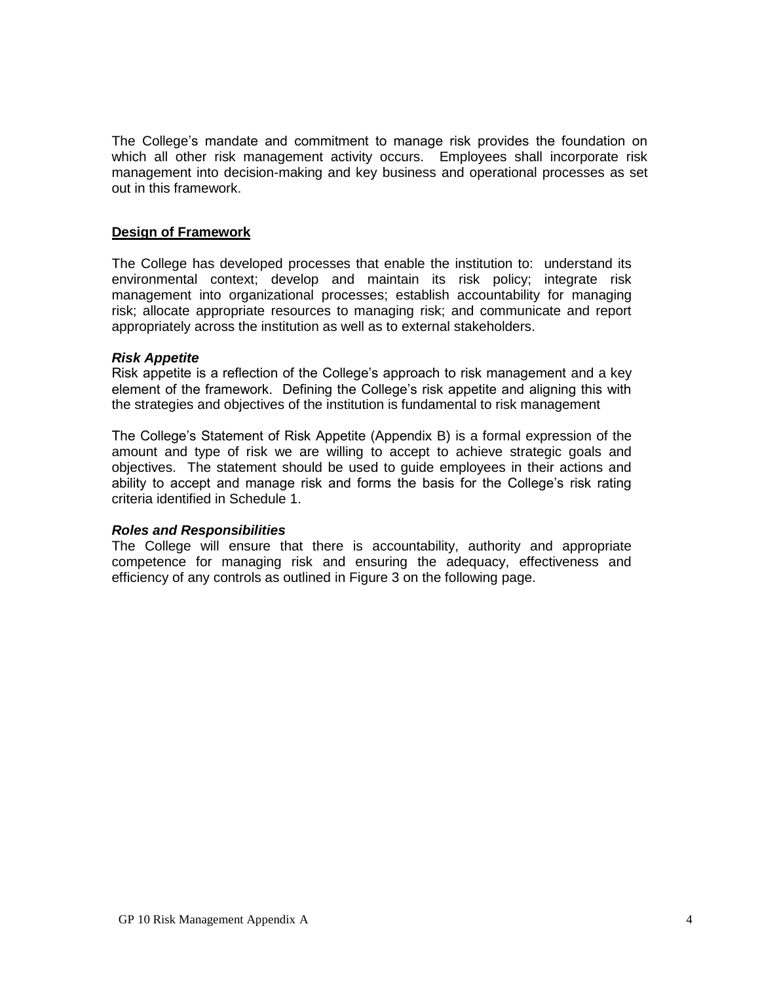The College's mandate and commitment to manage risk provides the foundation on which all other risk management activity occurs. Employees shall incorporate risk management into decision-making and key business and operational processes as set out in this framework.

## **Design of Framework**

The College has developed processes that enable the institution to: understand its environmental context; develop and maintain its risk policy; integrate risk management into organizational processes; establish accountability for managing risk; allocate appropriate resources to managing risk; and communicate and report appropriately across the institution as well as to external stakeholders.

## *Risk Appetite*

Risk appetite is a reflection of the College's approach to risk management and a key element of the framework. Defining the College's risk appetite and aligning this with the strategies and objectives of the institution is fundamental to risk management

The College's Statement of Risk Appetite (Appendix B) is a formal expression of the amount and type of risk we are willing to accept to achieve strategic goals and objectives. The statement should be used to guide employees in their actions and ability to accept and manage risk and forms the basis for the College's risk rating criteria identified in Schedule 1.

## *Roles and Responsibilities*

The College will ensure that there is accountability, authority and appropriate competence for managing risk and ensuring the adequacy, effectiveness and efficiency of any controls as outlined in Figure 3 on the following page.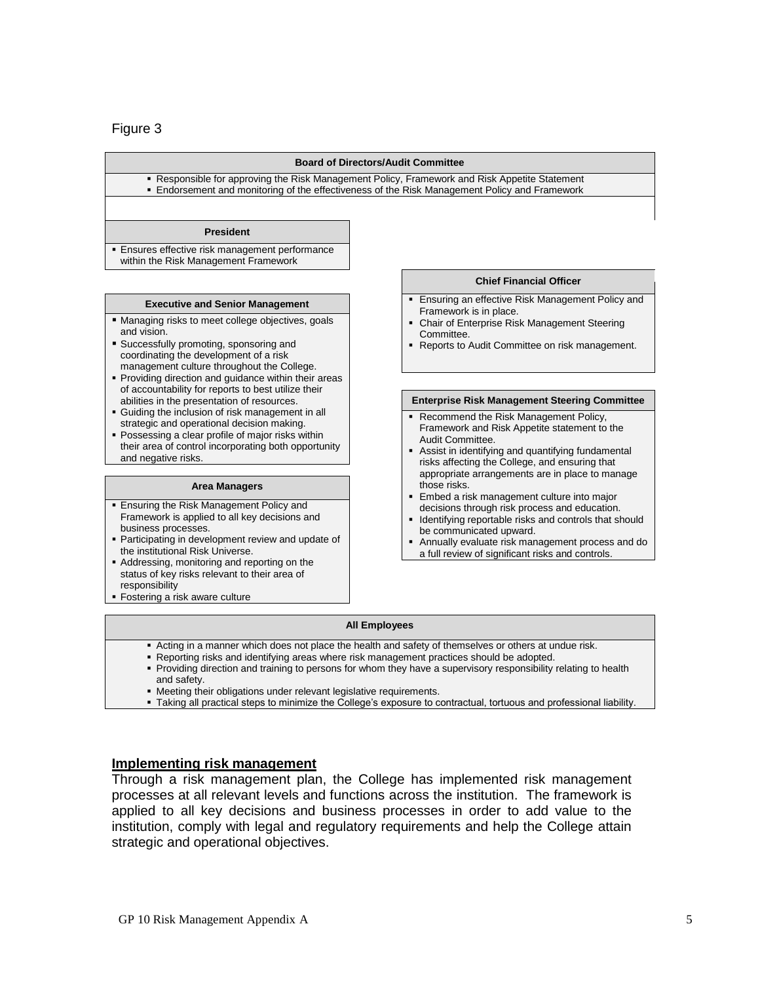## Figure 3

#### **Board of Directors/Audit Committee**

 Responsible for approving the Risk Management Policy, Framework and Risk Appetite Statement Endorsement and monitoring of the effectiveness of the Risk Management Policy and Framework

#### **President**

**Ensures effective risk management performance** within the Risk Management Framework

- **Managing risks to meet college objectives, goals** and vision.
- Successfully promoting, sponsoring and coordinating the development of a risk management culture throughout the College.
- **Providing direction and guidance within their areas** of accountability for reports to best utilize their abilities in the presentation of resources.
- Guiding the inclusion of risk management in all strategic and operational decision making.
- Possessing a clear profile of major risks within their area of control incorporating both opportunity and negative risks

#### **Area Managers**

- **Ensuring the Risk Management Policy and** Framework is applied to all key decisions and business processes.
- **Participating in development review and update of** the institutional Risk Universe.
- Addressing, monitoring and reporting on the status of key risks relevant to their area of responsibility
- **Fostering a risk aware culture**

#### **Chief Financial Officer**

- **Executive and Senior Management Executive and Senior Management** Framework is in place.
	- Chair of Enterprise Risk Management Steering Committee.
	- **Reports to Audit Committee on risk management.**

#### **Enterprise Risk Management Steering Committee**

- **Recommend the Risk Management Policy,** Framework and Risk Appetite statement to the Audit Committee.
- Assist in identifying and quantifying fundamental risks affecting the College, and ensuring that appropriate arrangements are in place to manage those risks.
- Embed a risk management culture into major decisions through risk process and education.
- Identifying reportable risks and controls that should be communicated upward.
- Annually evaluate risk management process and do a full review of significant risks and controls.

#### **All Employees**

- Acting in a manner which does not place the health and safety of themselves or others at undue risk.
- Reporting risks and identifying areas where risk management practices should be adopted.
- Providing direction and training to persons for whom they have a supervisory responsibility relating to health and safety.
- Meeting their obligations under relevant legislative requirements.
- Taking all practical steps to minimize the College's exposure to contractual, tortuous and professional liability.

### **Implementing risk management**

Through a risk management plan, the College has implemented risk management processes at all relevant levels and functions across the institution. The framework is applied to all key decisions and business processes in order to add value to the institution, comply with legal and regulatory requirements and help the College attain strategic and operational objectives.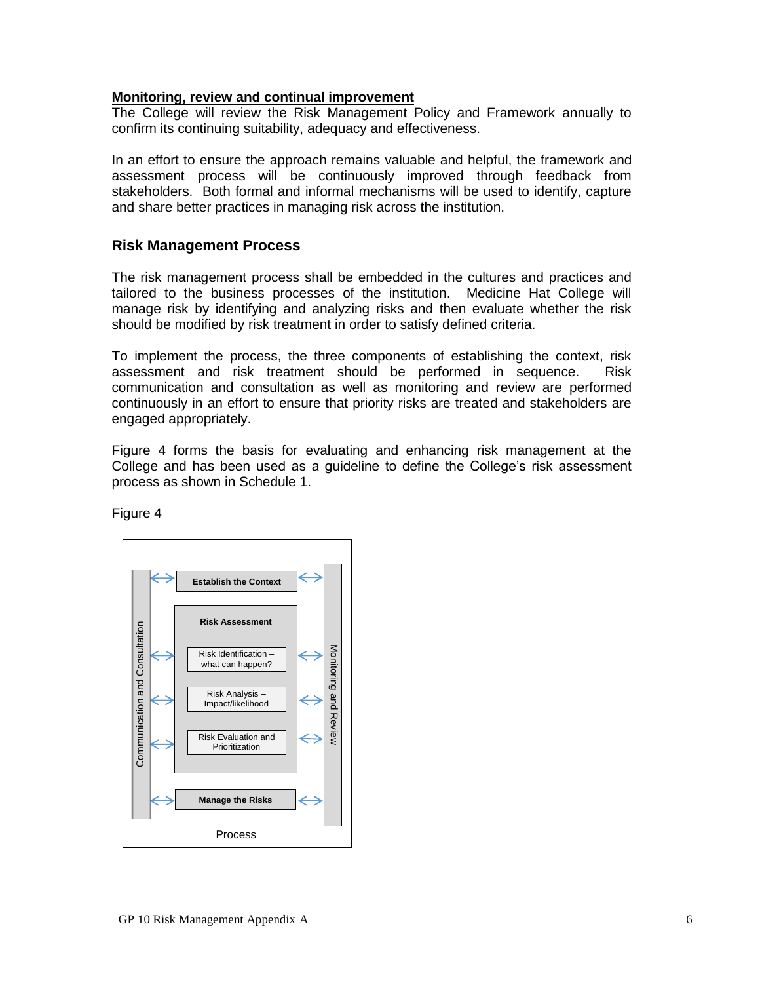## **Monitoring, review and continual improvement**

The College will review the Risk Management Policy and Framework annually to confirm its continuing suitability, adequacy and effectiveness.

In an effort to ensure the approach remains valuable and helpful, the framework and assessment process will be continuously improved through feedback from stakeholders. Both formal and informal mechanisms will be used to identify, capture and share better practices in managing risk across the institution.

## **Risk Management Process**

The risk management process shall be embedded in the cultures and practices and tailored to the business processes of the institution. Medicine Hat College will manage risk by identifying and analyzing risks and then evaluate whether the risk should be modified by risk treatment in order to satisfy defined criteria.

To implement the process, the three components of establishing the context, risk assessment and risk treatment should be performed in sequence. Risk communication and consultation as well as monitoring and review are performed continuously in an effort to ensure that priority risks are treated and stakeholders are engaged appropriately.

Figure 4 forms the basis for evaluating and enhancing risk management at the College and has been used as a guideline to define the College's risk assessment process as shown in Schedule 1.

Figure 4

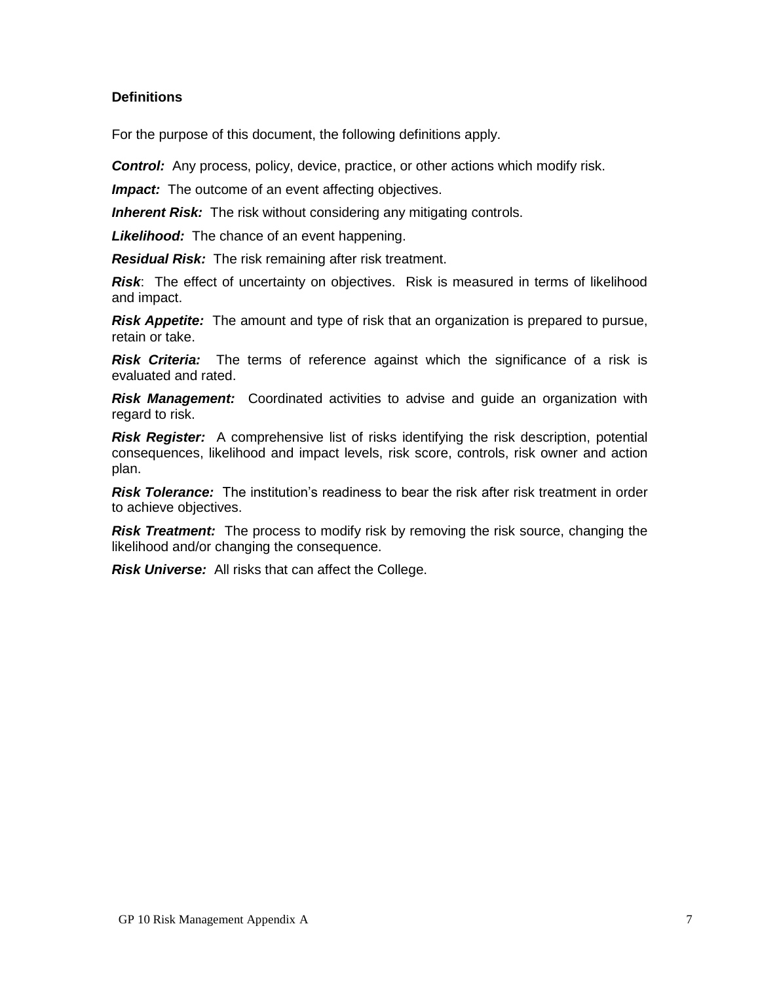## **Definitions**

For the purpose of this document, the following definitions apply.

*Control:* Any process, policy, device, practice, or other actions which modify risk.

*Impact:* The outcome of an event affecting objectives.

*Inherent Risk:* The risk without considering any mitigating controls.

*Likelihood:* The chance of an event happening.

*Residual Risk:* The risk remaining after risk treatment.

*Risk*: The effect of uncertainty on objectives. Risk is measured in terms of likelihood and impact.

*Risk Appetite:* The amount and type of risk that an organization is prepared to pursue, retain or take.

*Risk Criteria:* The terms of reference against which the significance of a risk is evaluated and rated.

*Risk Management:* Coordinated activities to advise and guide an organization with regard to risk.

*Risk Register:* A comprehensive list of risks identifying the risk description, potential consequences, likelihood and impact levels, risk score, controls, risk owner and action plan.

**Risk Tolerance:** The institution's readiness to bear the risk after risk treatment in order to achieve objectives.

**Risk Treatment:** The process to modify risk by removing the risk source, changing the likelihood and/or changing the consequence.

*Risk Universe:* All risks that can affect the College.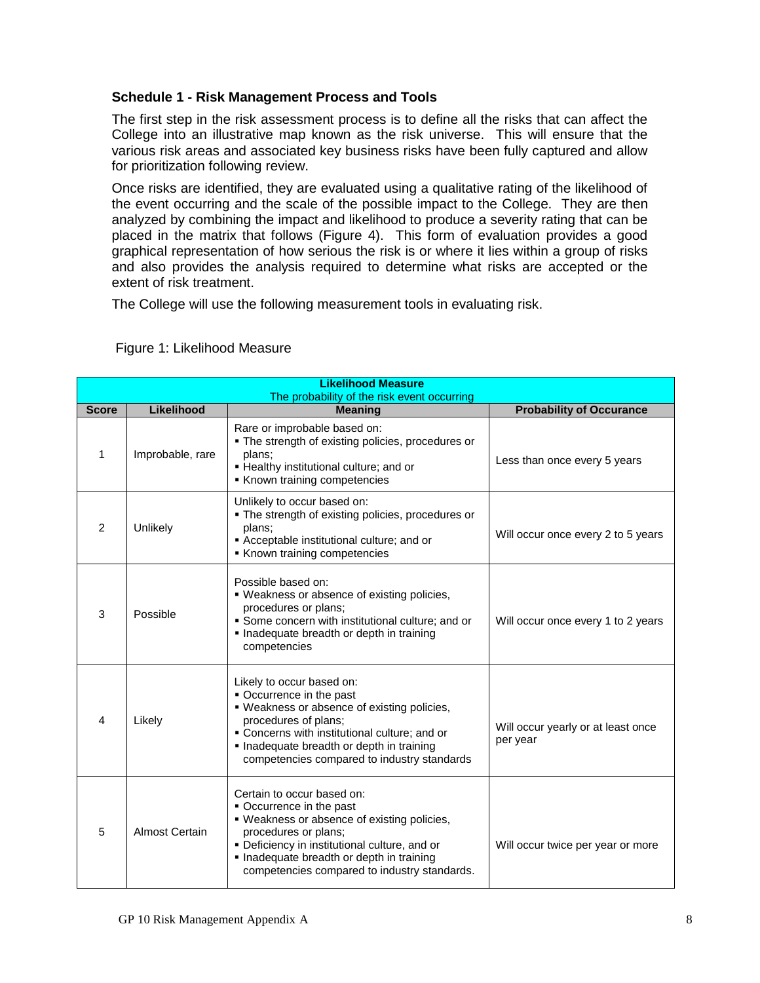## **Schedule 1 - Risk Management Process and Tools**

The first step in the risk assessment process is to define all the risks that can affect the College into an illustrative map known as the risk universe. This will ensure that the various risk areas and associated key business risks have been fully captured and allow for prioritization following review.

Once risks are identified, they are evaluated using a qualitative rating of the likelihood of the event occurring and the scale of the possible impact to the College. They are then analyzed by combining the impact and likelihood to produce a severity rating that can be placed in the matrix that follows (Figure 4). This form of evaluation provides a good graphical representation of how serious the risk is or where it lies within a group of risks and also provides the analysis required to determine what risks are accepted or the extent of risk treatment.

The College will use the following measurement tools in evaluating risk.

|  |  | Figure 1: Likelihood Measure |  |
|--|--|------------------------------|--|
|--|--|------------------------------|--|

| <b>Likelihood Measure</b><br>The probability of the risk event occurring |                  |                                                                                                                                                                                                                                                                             |                                                |  |
|--------------------------------------------------------------------------|------------------|-----------------------------------------------------------------------------------------------------------------------------------------------------------------------------------------------------------------------------------------------------------------------------|------------------------------------------------|--|
| <b>Score</b>                                                             | Likelihood       | <b>Meaning</b>                                                                                                                                                                                                                                                              | <b>Probability of Occurance</b>                |  |
| 1                                                                        | Improbable, rare | Rare or improbable based on:<br>. The strength of existing policies, procedures or<br>plans;<br>• Healthy institutional culture; and or<br>Known training competencies                                                                                                      | Less than once every 5 years                   |  |
| 2                                                                        | Unlikely         | Unlikely to occur based on:<br>. The strength of existing policies, procedures or<br>plans:<br>Acceptable institutional culture; and or<br>Known training competencies                                                                                                      | Will occur once every 2 to 5 years             |  |
| 3                                                                        | Possible         | Possible based on:<br>. Weakness or absence of existing policies,<br>procedures or plans;<br>• Some concern with institutional culture; and or<br>· Inadequate breadth or depth in training<br>competencies                                                                 | Will occur once every 1 to 2 years             |  |
| $\overline{4}$                                                           | Likely           | Likely to occur based on:<br>Occurrence in the past<br>• Weakness or absence of existing policies,<br>procedures of plans;<br>• Concerns with institutional culture; and or<br>Inadequate breadth or depth in training<br>competencies compared to industry standards       | Will occur yearly or at least once<br>per year |  |
| 5                                                                        | Almost Certain   | Certain to occur based on:<br>• Occurrence in the past<br>. Weakness or absence of existing policies,<br>procedures or plans;<br>· Deficiency in institutional culture, and or<br>· Inadequate breadth or depth in training<br>competencies compared to industry standards. | Will occur twice per year or more              |  |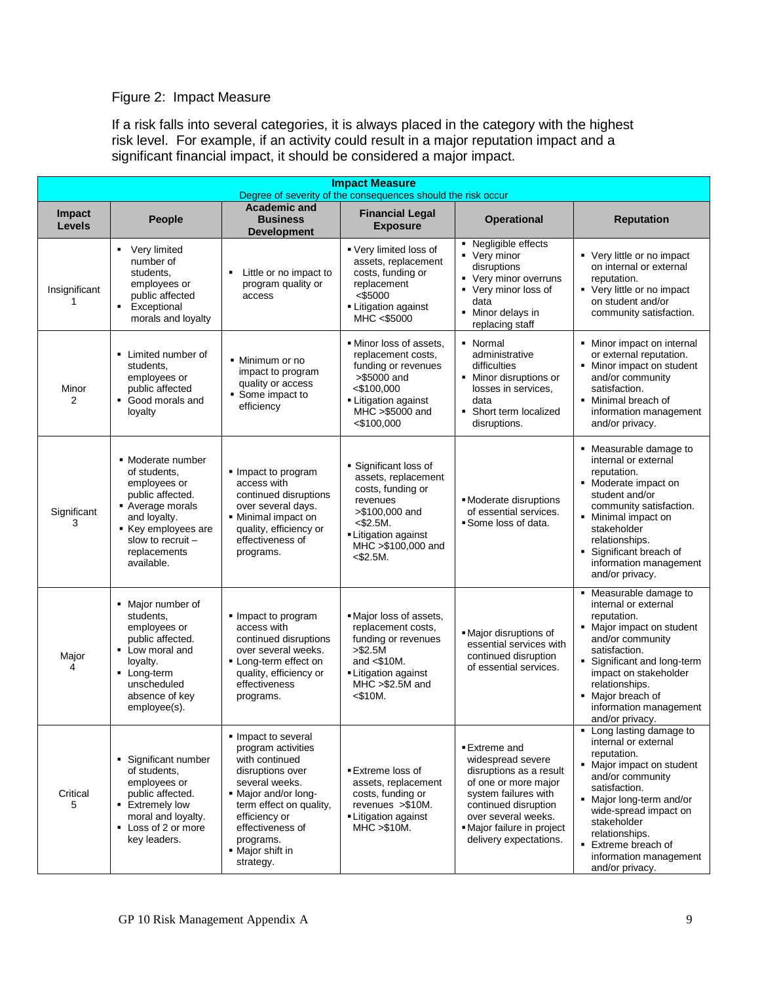## Figure 2: Impact Measure

If a risk falls into several categories, it is always placed in the category with the highest risk level. For example, if an activity could result in a major reputation impact and a significant financial impact, it should be considered a major impact.

| <b>Impact Measure</b><br>Degree of severity of the consequences should the risk occur |                                                                                                                                                                                 |                                                                                                                                                                                                                                       |                                                                                                                                                                             |                                                                                                                                                                                                                      |                                                                                                                                                                                                                                                                                           |
|---------------------------------------------------------------------------------------|---------------------------------------------------------------------------------------------------------------------------------------------------------------------------------|---------------------------------------------------------------------------------------------------------------------------------------------------------------------------------------------------------------------------------------|-----------------------------------------------------------------------------------------------------------------------------------------------------------------------------|----------------------------------------------------------------------------------------------------------------------------------------------------------------------------------------------------------------------|-------------------------------------------------------------------------------------------------------------------------------------------------------------------------------------------------------------------------------------------------------------------------------------------|
| Impact<br><b>Levels</b>                                                               | <b>People</b>                                                                                                                                                                   | <b>Academic and</b><br><b>Business</b><br><b>Development</b>                                                                                                                                                                          | <b>Financial Legal</b><br><b>Exposure</b>                                                                                                                                   | <b>Operational</b>                                                                                                                                                                                                   | <b>Reputation</b>                                                                                                                                                                                                                                                                         |
| Insignificant<br>1                                                                    | • Very limited<br>number of<br>students,<br>employees or<br>public affected<br>Exceptional<br>٠<br>morals and loyalty                                                           | Little or no impact to<br>program quality or<br>access                                                                                                                                                                                | Very limited loss of<br>assets, replacement<br>costs, funding or<br>replacement<br><\$5000<br>- Litigation against<br>MHC <\$5000                                           | • Negligible effects<br>• Very minor<br>disruptions<br>• Very minor overruns<br>• Very minor loss of<br>data<br>Minor delays in<br>٠<br>replacing staff                                                              | • Very little or no impact<br>on internal or external<br>reputation.<br>• Very little or no impact<br>on student and/or<br>community satisfaction.                                                                                                                                        |
| Minor<br>2                                                                            | • Limited number of<br>students,<br>employees or<br>public affected<br>Good morals and<br>loyalty                                                                               | • Minimum or no<br>impact to program<br>quality or access<br>Some impact to<br>efficiency                                                                                                                                             | . Minor loss of assets,<br>replacement costs,<br>funding or revenues<br>>\$5000 and<br>$<$ \$100,000<br>- Litigation against<br>MHC >\$5000 and<br>$<$ \$100,000            | • Normal<br>administrative<br>difficulties<br>• Minor disruptions or<br>losses in services,<br>data<br>Short term localized<br>٠<br>disruptions.                                                                     | • Minor impact on internal<br>or external reputation.<br>• Minor impact on student<br>and/or community<br>satisfaction.<br>• Minimal breach of<br>information management<br>and/or privacy.                                                                                               |
| Significant<br>3                                                                      | • Moderate number<br>of students,<br>employees or<br>public affected.<br>Average morals<br>and loyalty.<br>Key employees are<br>slow to recruit -<br>replacements<br>available. | Impact to program<br>access with<br>continued disruptions<br>over several days.<br>• Minimal impact on<br>quality, efficiency or<br>effectiveness of<br>programs.                                                                     | • Significant loss of<br>assets, replacement<br>costs, funding or<br>revenues<br>>\$100,000 and<br>$<$ \$2.5M.<br>- Litigation against<br>MHC >\$100,000 and<br>$<$ \$2.5M. | • Moderate disruptions<br>of essential services.<br>Some loss of data.                                                                                                                                               | • Measurable damage to<br>internal or external<br>reputation.<br>• Moderate impact on<br>student and/or<br>community satisfaction.<br>Minimal impact on<br>stakeholder<br>relationships.<br>Significant breach of<br>information management<br>and/or privacy.                            |
| Major<br>4                                                                            | • Major number of<br>students,<br>employees or<br>public affected.<br>• Low moral and<br>loyalty.<br>- Long-term<br>unscheduled<br>absence of key<br>employee(s).               | Impact to program<br>access with<br>continued disruptions<br>over several weeks.<br>- Long-term effect on<br>quality, efficiency or<br>effectiveness<br>programs.                                                                     | . Major loss of assets,<br>replacement costs,<br>funding or revenues<br>> \$2.5M<br>and $<$ \$10M.<br>- Litigation against<br>MHC >\$2.5M and<br>$<$ \$10M.                 | · Major disruptions of<br>essential services with<br>continued disruption<br>of essential services.                                                                                                                  | • Measurable damage to<br>internal or external<br>reputation.<br>• Major impact on student<br>and/or community<br>satisfaction.<br>Significant and long-term<br>impact on stakeholder<br>relationships.<br>Major breach of<br>information management<br>and/or privacy.                   |
| Critical<br>5                                                                         | • Significant number<br>of students,<br>employees or<br>public affected.<br>• Extremely low<br>moral and loyalty.<br>• Loss of 2 or more<br>key leaders.                        | Impact to several<br>program activities<br>with continued<br>disruptions over<br>several weeks.<br>• Major and/or long-<br>term effect on quality,<br>efficiency or<br>effectiveness of<br>programs.<br>• Major shift in<br>strategy. | ■ Extreme loss of<br>assets, replacement<br>costs, funding or<br>revenues > \$10M.<br><b>-Litigation against</b><br>$MHC > $10M$ .                                          | ■ Extreme and<br>widespread severe<br>disruptions as a result<br>of one or more major<br>system failures with<br>continued disruption<br>over several weeks.<br>· Major failure in project<br>delivery expectations. | • Long lasting damage to<br>internal or external<br>reputation.<br>• Major impact on student<br>and/or community<br>satisfaction.<br>• Major long-term and/or<br>wide-spread impact on<br>stakeholder<br>relationships.<br>Extreme breach of<br>information management<br>and/or privacy. |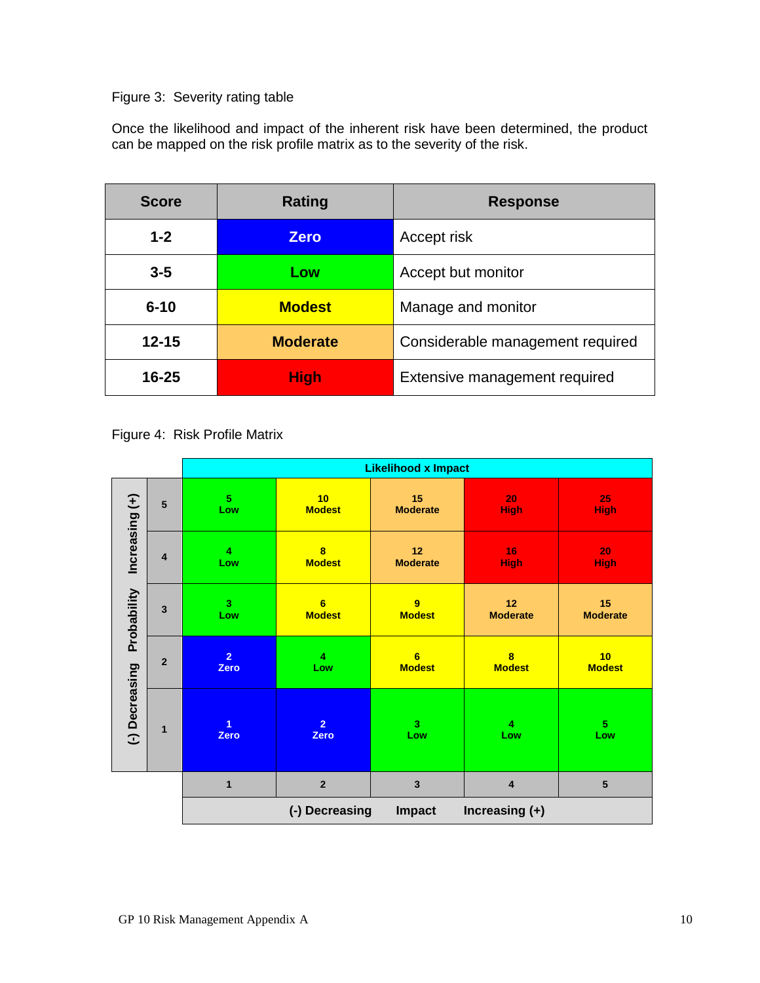## Figure 3: Severity rating table

Once the likelihood and impact of the inherent risk have been determined, the product can be mapped on the risk profile matrix as to the severity of the risk.

| <b>Score</b> | Rating          | <b>Response</b>                  |
|--------------|-----------------|----------------------------------|
| $1 - 2$      | <b>Zero</b>     | Accept risk                      |
| $3 - 5$      | Low             | Accept but monitor               |
| $6 - 10$     | <b>Modest</b>   | Manage and monitor               |
| $12 - 15$    | <b>Moderate</b> | Considerable management required |
| 16-25        | <b>High</b>     | Extensive management required    |

Figure 4: Risk Profile Matrix

|                |                 | <b>Likelihood x Impact</b>                          |                                          |                                |                       |                       |
|----------------|-----------------|-----------------------------------------------------|------------------------------------------|--------------------------------|-----------------------|-----------------------|
|                | $5\phantom{.0}$ | 5<br>Low                                            | 10<br><b>Modest</b>                      | 15<br><b>Moderate</b>          | 20<br><b>High</b>     | 25<br><b>High</b>     |
| Increasing (+) | $\overline{4}$  | $\overline{\mathbf{4}}$<br>Low                      | $\overline{\mathbf{8}}$<br><b>Modest</b> | 12<br><b>Moderate</b>          | 16<br><b>High</b>     | 20<br><b>High</b>     |
| Probability    | $\overline{3}$  | 3 <sup>2</sup><br>Low                               | $6\phantom{a}$<br><b>Modest</b>          | 9<br><b>Modest</b>             | 12<br><b>Moderate</b> | 15<br><b>Moderate</b> |
|                | $\overline{2}$  | $\overline{2}$<br>Zero                              | 4<br>Low                                 | 6<br><b>Modest</b>             | 8<br><b>Modest</b>    | 10<br><b>Modest</b>   |
| (-) Decreasing | $\mathbf{1}$    | $\overline{1}$<br>Zero                              | $\overline{2}$<br>Zero                   | $\overline{\mathbf{3}}$<br>Low | 4<br>Low              | $\overline{5}$<br>Low |
|                |                 | $\mathbf{1}$                                        | $\overline{2}$                           | $\mathbf{3}$                   | $\overline{4}$        | $5\phantom{1}$        |
|                |                 | (-) Decreasing<br>Increasing $(+)$<br><b>Impact</b> |                                          |                                |                       |                       |